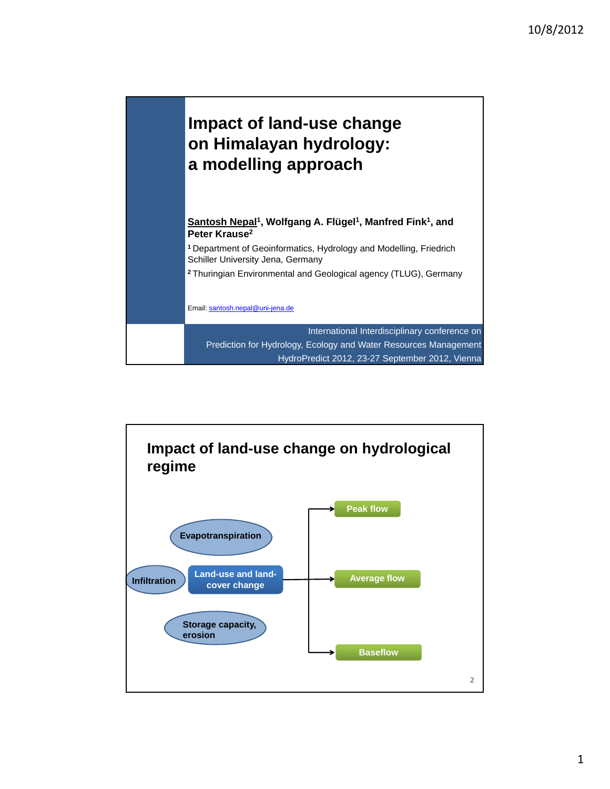

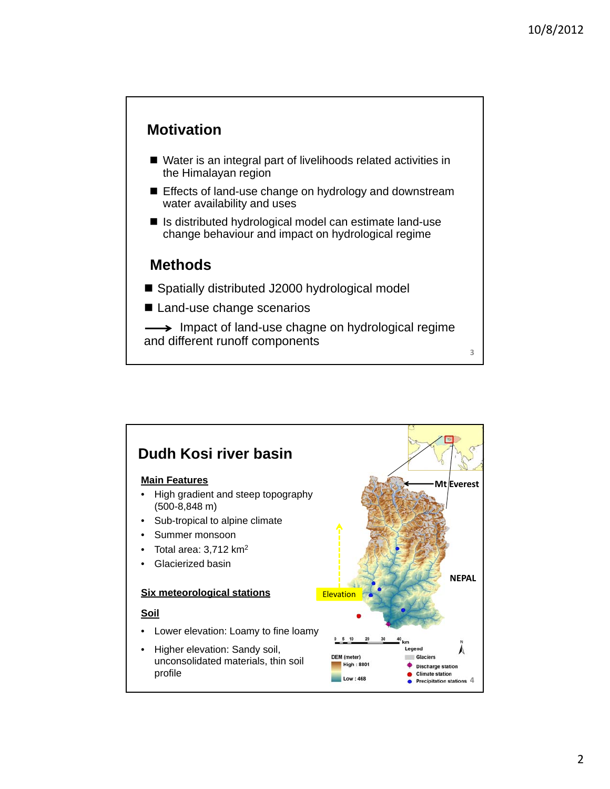## **Motivation**

- Water is an integral part of livelihoods related activities in the Himalayan region
- Effects of land-use change on hydrology and downstream water availability and uses
- Is distributed hydrological model can estimate land-use change behaviour and impact on hydrological regime

## **Methods**

- Spatially distributed J2000 hydrological model
- Land-use change scenarios

 $\rightarrow$  Impact of land-use chagne on hydrological regime and different runoff components



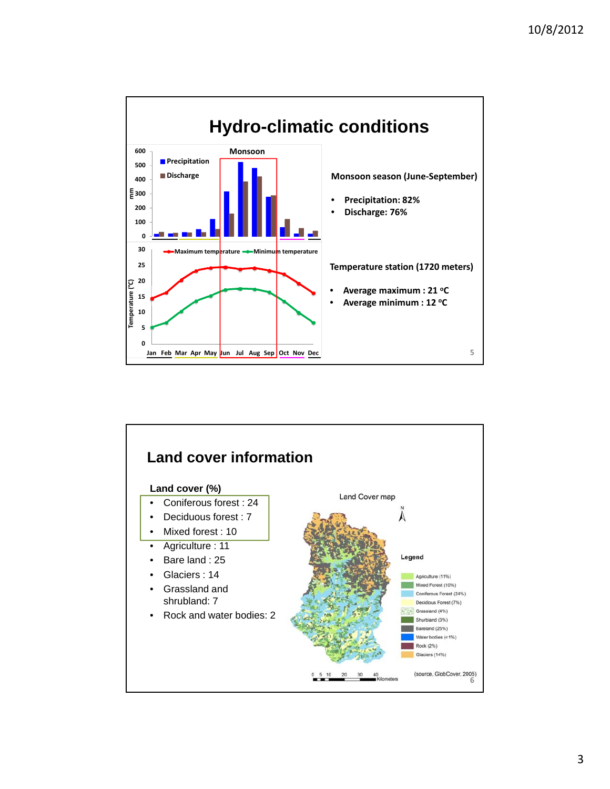

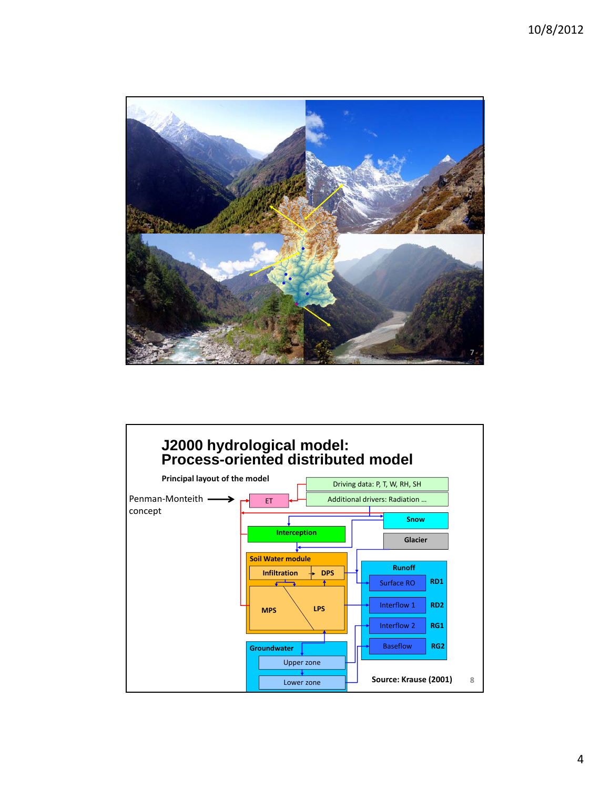

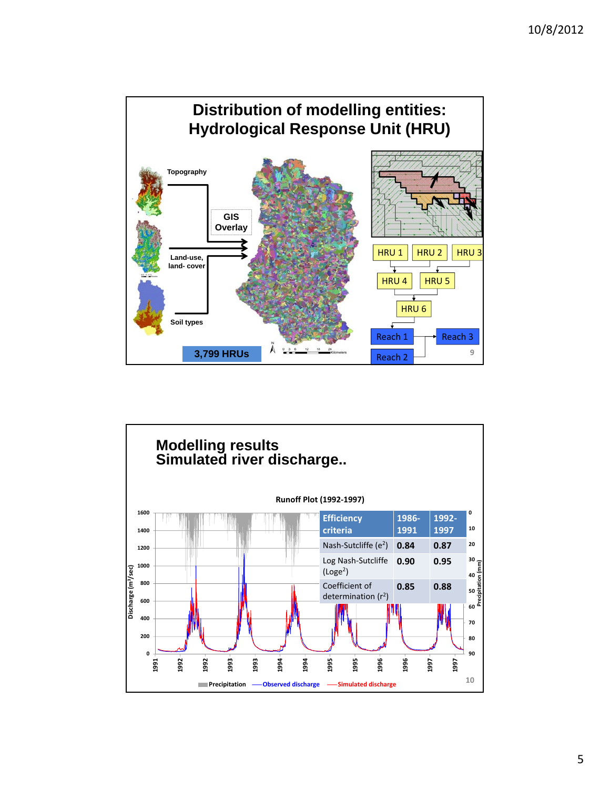

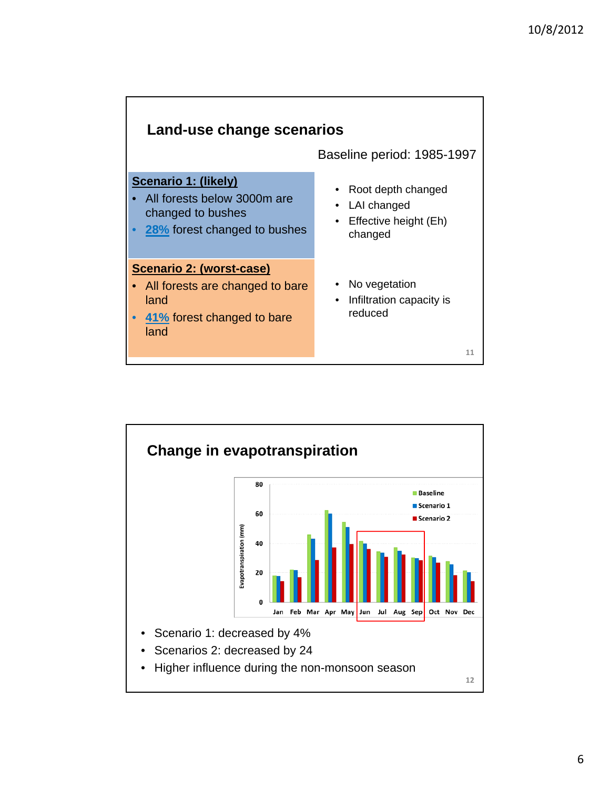

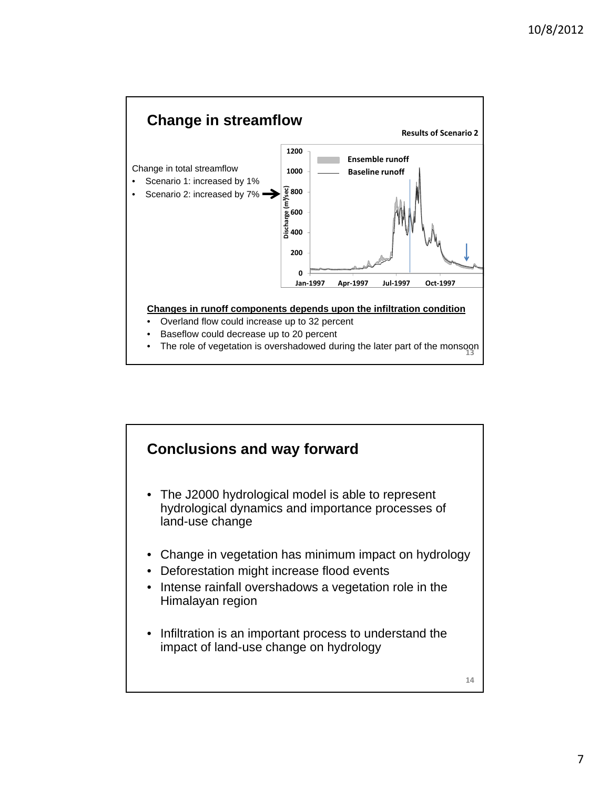